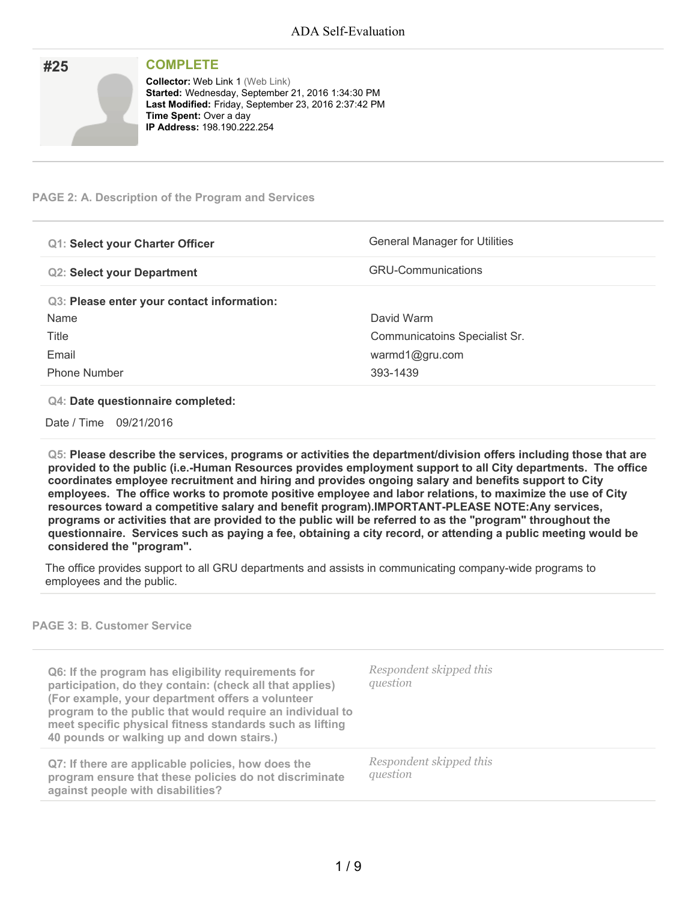| #25 | <b>COMPLETE</b>                                                                                                                                                                                                             |
|-----|-----------------------------------------------------------------------------------------------------------------------------------------------------------------------------------------------------------------------------|
|     | <b>Collector: Web Link 1 (Web Link)</b><br>Started: Wednesday, September 21, 2016 1:34:30 PM<br>Last Modified: Friday, September 23, 2016 2:37:42 PM<br><b>Time Spent: Over a day</b><br><b>IP Address: 198.190.222.254</b> |

# **PAGE 2: A. Description of the Program and Services**

| <b>Q1: Select your Charter Officer</b>     | <b>General Manager for Utilities</b> |
|--------------------------------------------|--------------------------------------|
| <b>Q2: Select your Department</b>          | <b>GRU-Communications</b>            |
| Q3: Please enter your contact information: |                                      |
| Name                                       | David Warm                           |
| Title                                      | Communicatoins Specialist Sr.        |
| Email                                      | warmd1@gru.com                       |
| <b>Phone Number</b>                        | 393-1439                             |

### **Q4: Date questionnaire completed:**

Date / Time 09/21/2016

**Q5: Please describe the services, programs or activities the department/division offers including those that are provided to the public (i.e.-Human Resources provides employment support to all City departments. The office coordinates employee recruitment and hiring and provides ongoing salary and benefits support to City employees. The office works to promote positive employee and labor relations, to maximize the use of City resources toward a competitive salary and benefit program).IMPORTANT-PLEASE NOTE:Any services,** programs or activities that are provided to the public will be referred to as the "program" throughout the questionnaire. Services such as paying a fee, obtaining a city record, or attending a public meeting would be **considered the "program".**

The office provides support to all GRU departments and assists in communicating company-wide programs to employees and the public.

# **PAGE 3: B. Customer Service**

| Q6: If the program has eligibility requirements for<br>participation, do they contain: (check all that applies)<br>(For example, your department offers a volunteer<br>program to the public that would require an individual to<br>meet specific physical fitness standards such as lifting<br>40 pounds or walking up and down stairs.) | Respondent skipped this<br>question |
|-------------------------------------------------------------------------------------------------------------------------------------------------------------------------------------------------------------------------------------------------------------------------------------------------------------------------------------------|-------------------------------------|
| Q7: If there are applicable policies, how does the<br>program ensure that these policies do not discriminate<br>against people with disabilities?                                                                                                                                                                                         | Respondent skipped this<br>question |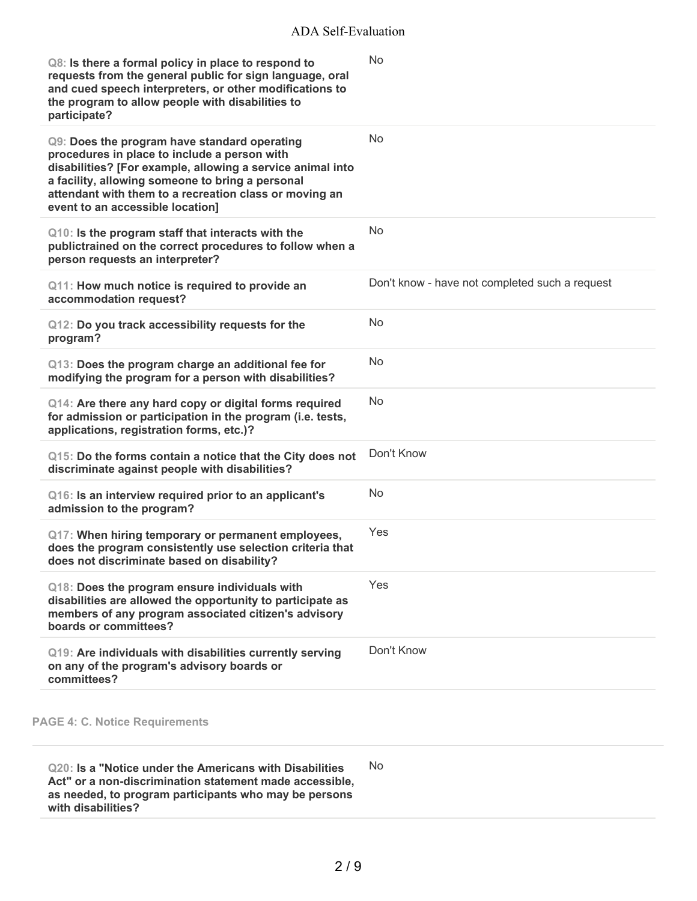| Q8: Is there a formal policy in place to respond to<br>requests from the general public for sign language, oral<br>and cued speech interpreters, or other modifications to<br>the program to allow people with disabilities to<br>participate?                                                               | <b>No</b>                                      |
|--------------------------------------------------------------------------------------------------------------------------------------------------------------------------------------------------------------------------------------------------------------------------------------------------------------|------------------------------------------------|
| Q9: Does the program have standard operating<br>procedures in place to include a person with<br>disabilities? [For example, allowing a service animal into<br>a facility, allowing someone to bring a personal<br>attendant with them to a recreation class or moving an<br>event to an accessible location] | No                                             |
| Q10: Is the program staff that interacts with the<br>publictrained on the correct procedures to follow when a<br>person requests an interpreter?                                                                                                                                                             | <b>No</b>                                      |
| Q11: How much notice is required to provide an<br>accommodation request?                                                                                                                                                                                                                                     | Don't know - have not completed such a request |
| Q12: Do you track accessibility requests for the<br>program?                                                                                                                                                                                                                                                 | No                                             |
| Q13: Does the program charge an additional fee for<br>modifying the program for a person with disabilities?                                                                                                                                                                                                  | N <sub>o</sub>                                 |
| Q14: Are there any hard copy or digital forms required<br>for admission or participation in the program (i.e. tests,<br>applications, registration forms, etc.)?                                                                                                                                             | <b>No</b>                                      |
| Q15: Do the forms contain a notice that the City does not<br>discriminate against people with disabilities?                                                                                                                                                                                                  | Don't Know                                     |
| Q16: Is an interview required prior to an applicant's<br>admission to the program?                                                                                                                                                                                                                           | <b>No</b>                                      |
| Q17: When hiring temporary or permanent employees,<br>does the program consistently use selection criteria that<br>does not discriminate based on disability?                                                                                                                                                | Yes                                            |
| Q18: Does the program ensure individuals with<br>disabilities are allowed the opportunity to participate as<br>members of any program associated citizen's advisory<br>boards or committees?                                                                                                                 | Yes                                            |
| Q19: Are individuals with disabilities currently serving<br>on any of the program's advisory boards or<br>committees?                                                                                                                                                                                        | Don't Know                                     |

**Q20: Is a "Notice under the Americans with Disabilities Act" or a non-discrimination statement made accessible, as needed, to program participants who may be persons with disabilities?** No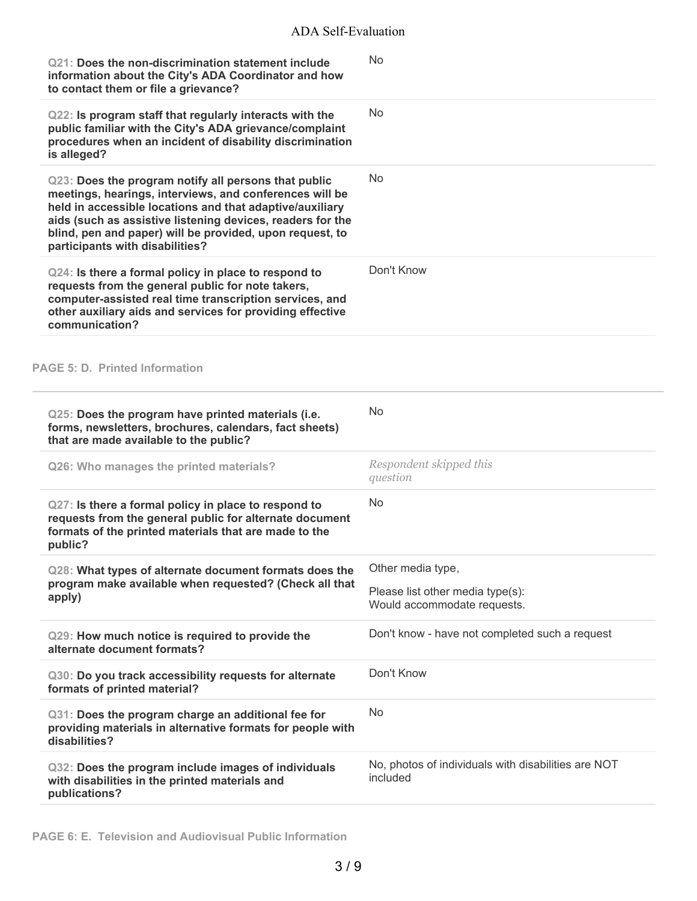| Q21: Does the non-discrimination statement include<br>information about the City's ADA Coordinator and how<br>to contact them or file a grievance?                                                                                                                                                                                       | <b>No</b>                                                       |
|------------------------------------------------------------------------------------------------------------------------------------------------------------------------------------------------------------------------------------------------------------------------------------------------------------------------------------------|-----------------------------------------------------------------|
| Q22: Is program staff that regularly interacts with the<br>public familiar with the City's ADA grievance/complaint<br>procedures when an incident of disability discrimination<br>is alleged?                                                                                                                                            | <b>No</b>                                                       |
| Q23: Does the program notify all persons that public<br>meetings, hearings, interviews, and conferences will be<br>held in accessible locations and that adaptive/auxiliary<br>aids (such as assistive listening devices, readers for the<br>blind, pen and paper) will be provided, upon request, to<br>participants with disabilities? | <b>No</b>                                                       |
| Q24: Is there a formal policy in place to respond to<br>requests from the general public for note takers,<br>computer-assisted real time transcription services, and<br>other auxiliary aids and services for providing effective<br>communication?                                                                                      | Don't Know                                                      |
| <b>PAGE 5: D. Printed Information</b>                                                                                                                                                                                                                                                                                                    |                                                                 |
| Q25: Does the program have printed materials (i.e.<br>forms, newsletters, brochures, calendars, fact sheets)<br>that are made available to the public?                                                                                                                                                                                   | No                                                              |
| Q26: Who manages the printed materials?                                                                                                                                                                                                                                                                                                  | Respondent skipped this<br>question                             |
| Q27: Is there a formal policy in place to respond to<br>requests from the general public for alternate document<br>formats of the printed materials that are made to the<br>public?                                                                                                                                                      | <b>No</b>                                                       |
| Q28: What types of alternate document formats does the<br>program make available when requested? (Check all that<br>apply)                                                                                                                                                                                                               | Other media type,                                               |
|                                                                                                                                                                                                                                                                                                                                          | Please list other media type(s):<br>Would accommodate requests. |
| Q29: How much notice is required to provide the<br>alternate document formats?                                                                                                                                                                                                                                                           | Don't know - have not completed such a request                  |
| Q30: Do you track accessibility requests for alternate<br>formats of printed material?                                                                                                                                                                                                                                                   | Don't Know                                                      |
| Q31: Does the program charge an additional fee for<br>providing materials in alternative formats for people with<br>disabilities?                                                                                                                                                                                                        | No                                                              |
| Q32: Does the program include images of individuals<br>with disabilities in the printed materials and<br>publications?                                                                                                                                                                                                                   | No, photos of individuals with disabilities are NOT<br>included |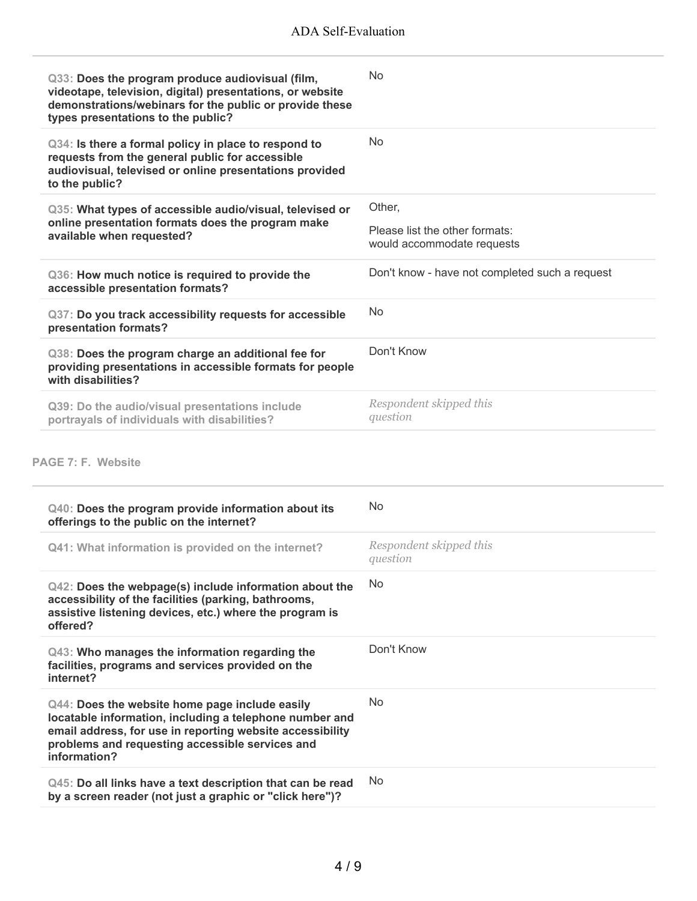| Q33: Does the program produce audiovisual (film,<br>videotape, television, digital) presentations, or website<br>demonstrations/webinars for the public or provide these<br>types presentations to the public? | <b>No</b>                                                    |
|----------------------------------------------------------------------------------------------------------------------------------------------------------------------------------------------------------------|--------------------------------------------------------------|
| Q34: Is there a formal policy in place to respond to<br>requests from the general public for accessible<br>audiovisual, televised or online presentations provided<br>to the public?                           | N <sub>0</sub>                                               |
| Q35: What types of accessible audio/visual, televised or<br>online presentation formats does the program make<br>available when requested?                                                                     | Other,                                                       |
|                                                                                                                                                                                                                | Please list the other formats:<br>would accommodate requests |
| Q36: How much notice is required to provide the<br>accessible presentation formats?                                                                                                                            | Don't know - have not completed such a request               |
| Q37: Do you track accessibility requests for accessible<br>presentation formats?                                                                                                                               | <b>No</b>                                                    |
| Q38: Does the program charge an additional fee for<br>providing presentations in accessible formats for people<br>with disabilities?                                                                           | Don't Know                                                   |
| Q39: Do the audio/visual presentations include<br>portrayals of individuals with disabilities?                                                                                                                 | Respondent skipped this<br>question                          |

| Q40: Does the program provide information about its<br>offerings to the public on the internet?                                                                                                                                           | <b>No</b>                           |
|-------------------------------------------------------------------------------------------------------------------------------------------------------------------------------------------------------------------------------------------|-------------------------------------|
| Q41: What information is provided on the internet?                                                                                                                                                                                        | Respondent skipped this<br>question |
| $Q42$ : Does the webpage(s) include information about the<br>accessibility of the facilities (parking, bathrooms,<br>assistive listening devices, etc.) where the program is<br>offered?                                                  | No                                  |
| Q43: Who manages the information regarding the<br>facilities, programs and services provided on the<br>internet?                                                                                                                          | Don't Know                          |
| Q44: Does the website home page include easily<br>locatable information, including a telephone number and<br>email address, for use in reporting website accessibility<br>problems and requesting accessible services and<br>information? | <b>No</b>                           |
| Q45: Do all links have a text description that can be read<br>by a screen reader (not just a graphic or "click here")?                                                                                                                    | No.                                 |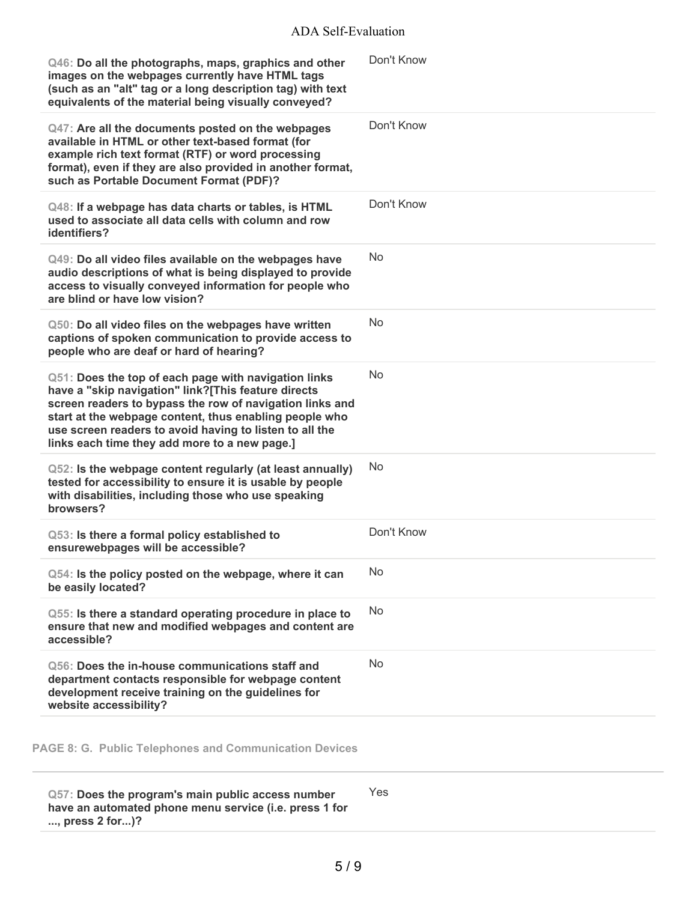| Q46: Do all the photographs, maps, graphics and other<br>images on the webpages currently have HTML tags<br>(such as an "alt" tag or a long description tag) with text<br>equivalents of the material being visually conveyed?                                                                                                                | Don't Know |
|-----------------------------------------------------------------------------------------------------------------------------------------------------------------------------------------------------------------------------------------------------------------------------------------------------------------------------------------------|------------|
| Q47: Are all the documents posted on the webpages<br>available in HTML or other text-based format (for<br>example rich text format (RTF) or word processing<br>format), even if they are also provided in another format,<br>such as Portable Document Format (PDF)?                                                                          | Don't Know |
| Q48: If a webpage has data charts or tables, is HTML<br>used to associate all data cells with column and row<br>identifiers?                                                                                                                                                                                                                  | Don't Know |
| Q49: Do all video files available on the webpages have<br>audio descriptions of what is being displayed to provide<br>access to visually conveyed information for people who<br>are blind or have low vision?                                                                                                                                 | <b>No</b>  |
| Q50: Do all video files on the webpages have written<br>captions of spoken communication to provide access to<br>people who are deaf or hard of hearing?                                                                                                                                                                                      | <b>No</b>  |
| Q51: Does the top of each page with navigation links<br>have a "skip navigation" link?[This feature directs<br>screen readers to bypass the row of navigation links and<br>start at the webpage content, thus enabling people who<br>use screen readers to avoid having to listen to all the<br>links each time they add more to a new page.] | <b>No</b>  |
| Q52: Is the webpage content regularly (at least annually)<br>tested for accessibility to ensure it is usable by people<br>with disabilities, including those who use speaking<br>browsers?                                                                                                                                                    | No         |
| Q53: Is there a formal policy established to<br>ensurewebpages will be accessible?                                                                                                                                                                                                                                                            | Don't Know |
| Q54: Is the policy posted on the webpage, where it can<br>be easily located?                                                                                                                                                                                                                                                                  | No         |
| Q55: Is there a standard operating procedure in place to<br>ensure that new and modified webpages and content are<br>accessible?                                                                                                                                                                                                              | No         |
| Q56: Does the in-house communications staff and<br>department contacts responsible for webpage content<br>development receive training on the guidelines for<br>website accessibility?                                                                                                                                                        | No         |
|                                                                                                                                                                                                                                                                                                                                               |            |

**PAGE 8: G. Public Telephones and Communication Devices**

**Q57: Does the program's main public access number have an automated phone menu service (i.e. press 1 for ..., press 2 for...)?** Yes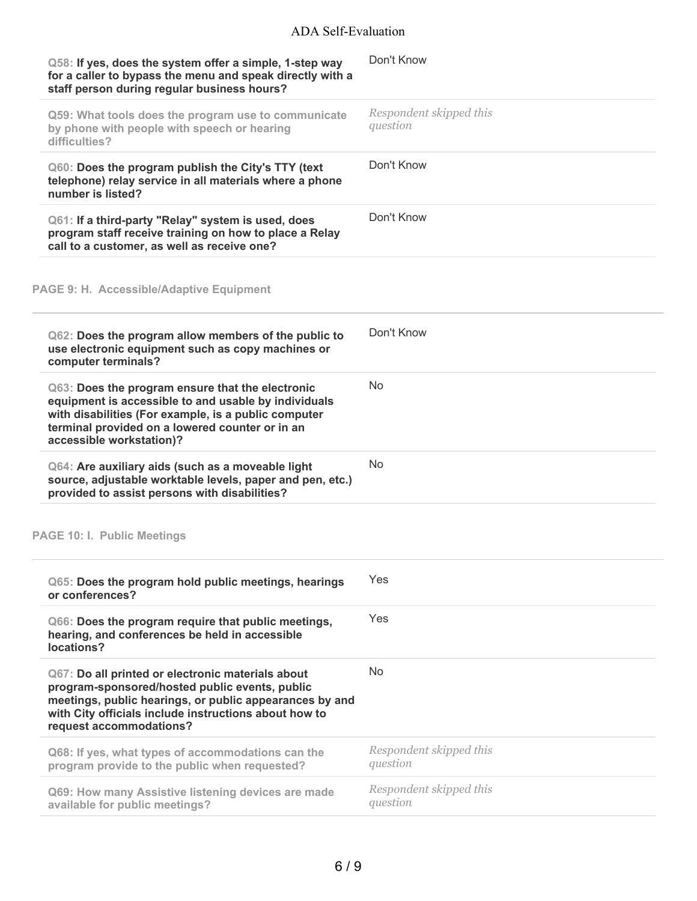# ADA Self-Evaluation

| Q58: If yes, does the system offer a simple, 1-step way<br>for a caller to bypass the menu and speak directly with a<br>staff person during regular business hours?                                                                                | Don't Know                          |
|----------------------------------------------------------------------------------------------------------------------------------------------------------------------------------------------------------------------------------------------------|-------------------------------------|
| Q59: What tools does the program use to communicate<br>by phone with people with speech or hearing<br>difficulties?                                                                                                                                | Respondent skipped this<br>question |
| Q60: Does the program publish the City's TTY (text<br>telephone) relay service in all materials where a phone<br>number is listed?                                                                                                                 | Don't Know                          |
| Q61: If a third-party "Relay" system is used, does<br>program staff receive training on how to place a Relay<br>call to a customer, as well as receive one?                                                                                        | Don't Know                          |
| <b>PAGE 9: H. Accessible/Adaptive Equipment</b>                                                                                                                                                                                                    |                                     |
| Q62: Does the program allow members of the public to<br>use electronic equipment such as copy machines or<br>computer terminals?                                                                                                                   | Don't Know                          |
| Q63: Does the program ensure that the electronic<br>equipment is accessible to and usable by individuals<br>with disabilities (For example, is a public computer<br>terminal provided on a lowered counter or in an<br>accessible workstation)?    | <b>No</b>                           |
| Q64: Are auxiliary aids (such as a moveable light<br>source, adjustable worktable levels, paper and pen, etc.)<br>provided to assist persons with disabilities?                                                                                    | <b>No</b>                           |
| <b>PAGE 10: I. Public Meetings</b>                                                                                                                                                                                                                 |                                     |
| Q65: Does the program hold public meetings, hearings<br>or conferences?                                                                                                                                                                            | Yes                                 |
| Q66: Does the program require that public meetings,<br>hearing, and conferences be held in accessible<br>locations?                                                                                                                                | Yes                                 |
| Q67: Do all printed or electronic materials about<br>program-sponsored/hosted public events, public<br>meetings, public hearings, or public appearances by and<br>with City officials include instructions about how to<br>request accommodations? | <b>No</b>                           |
| Q68: If yes, what types of accommodations can the<br>program provide to the public when requested?                                                                                                                                                 | Respondent skipped this<br>question |
| Q69: How many Assistive listening devices are made<br>available for public meetings?                                                                                                                                                               | Respondent skipped this<br>question |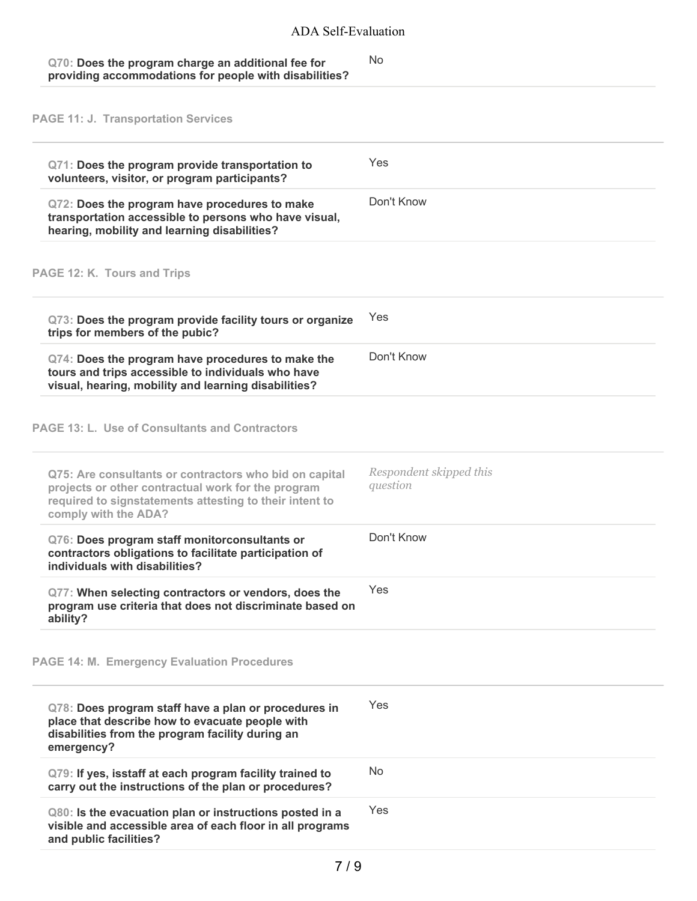#### **Q70: Does the program charge an additional fee for providing accommodations for people with disabilities?** No

**PAGE 11: J. Transportation Services**

| Q71: Does the program provide transportation to<br>volunteers, visitor, or program participants?                                                                                                | Yes                                 |
|-------------------------------------------------------------------------------------------------------------------------------------------------------------------------------------------------|-------------------------------------|
| Q72: Does the program have procedures to make<br>transportation accessible to persons who have visual,<br>hearing, mobility and learning disabilities?                                          | Don't Know                          |
| PAGE 12: K. Tours and Trips                                                                                                                                                                     |                                     |
| Q73: Does the program provide facility tours or organize<br>trips for members of the pubic?                                                                                                     | Yes                                 |
| Q74: Does the program have procedures to make the<br>tours and trips accessible to individuals who have<br>visual, hearing, mobility and learning disabilities?                                 | Don't Know                          |
| PAGE 13: L. Use of Consultants and Contractors                                                                                                                                                  |                                     |
| Q75: Are consultants or contractors who bid on capital<br>projects or other contractual work for the program<br>required to signstatements attesting to their intent to<br>comply with the ADA? | Respondent skipped this<br>question |
| Q76: Does program staff monitorconsultants or<br>contractors obligations to facilitate participation of<br>individuals with disabilities?                                                       | Don't Know                          |
| Q77: When selecting contractors or vendors, does the<br>program use criteria that does not discriminate based on<br>ability?                                                                    | Yes                                 |
| <b>PAGE 14: M. Emergency Evaluation Procedures</b>                                                                                                                                              |                                     |
| Q78: Does program staff have a plan or procedures in<br>place that describe how to evacuate people with<br>disabilities from the program facility during an<br>emergency?                       | Yes                                 |
| Q79: If yes, isstaff at each program facility trained to<br>carry out the instructions of the plan or procedures?                                                                               | <b>No</b>                           |
| Q80: Is the evacuation plan or instructions posted in a<br>visible and accessible area of each floor in all programs<br>and public facilities?                                                  | Yes                                 |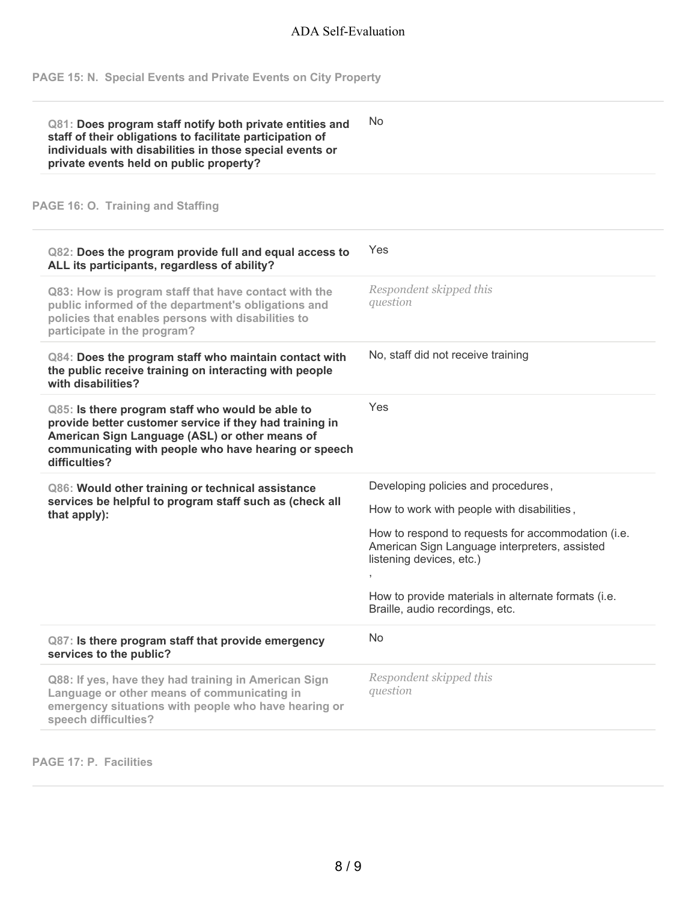**PAGE 15: N. Special Events and Private Events on City Property**

| Q81: Does program staff notify both private entities and<br>staff of their obligations to facilitate participation of<br>individuals with disabilities in those special events or<br>private events held on public property?           | No                                                                                                                                      |
|----------------------------------------------------------------------------------------------------------------------------------------------------------------------------------------------------------------------------------------|-----------------------------------------------------------------------------------------------------------------------------------------|
| PAGE 16: O. Training and Staffing                                                                                                                                                                                                      |                                                                                                                                         |
| Q82: Does the program provide full and equal access to<br>ALL its participants, regardless of ability?                                                                                                                                 | Yes                                                                                                                                     |
| Q83: How is program staff that have contact with the<br>public informed of the department's obligations and<br>policies that enables persons with disabilities to<br>participate in the program?                                       | Respondent skipped this<br>question                                                                                                     |
| Q84: Does the program staff who maintain contact with<br>the public receive training on interacting with people<br>with disabilities?                                                                                                  | No, staff did not receive training                                                                                                      |
| Q85: Is there program staff who would be able to<br>provide better customer service if they had training in<br>American Sign Language (ASL) or other means of<br>communicating with people who have hearing or speech<br>difficulties? | Yes                                                                                                                                     |
| Q86: Would other training or technical assistance<br>services be helpful to program staff such as (check all<br>that apply):                                                                                                           | Developing policies and procedures,<br>How to work with people with disabilities,<br>How to respond to requests for accommodation (i.e. |
|                                                                                                                                                                                                                                        | American Sign Language interpreters, assisted<br>listening devices, etc.)                                                               |
|                                                                                                                                                                                                                                        | How to provide materials in alternate formats (i.e.<br>Braille, audio recordings, etc.                                                  |
| Q87: Is there program staff that provide emergency<br>services to the public?                                                                                                                                                          | <b>No</b>                                                                                                                               |
| Q88: If yes, have they had training in American Sign<br>Language or other means of communicating in<br>emergency situations with people who have hearing or<br>speech difficulties?                                                    | Respondent skipped this<br>question                                                                                                     |

**PAGE 17: P. Facilities**